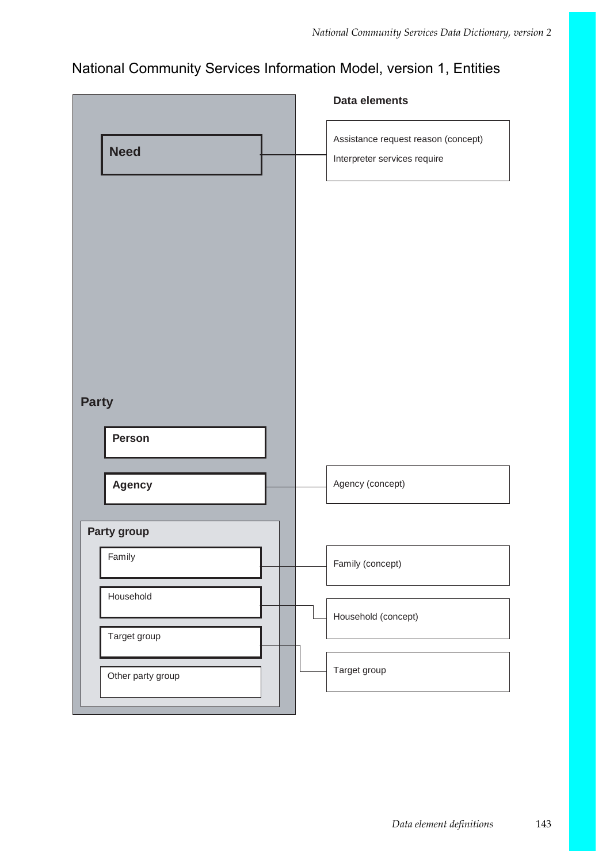## National Community Services Information Model, version 1, Entities

|                   | Data elements                                                       |
|-------------------|---------------------------------------------------------------------|
| <b>Need</b>       | Assistance request reason (concept)<br>Interpreter services require |
|                   |                                                                     |
|                   |                                                                     |
|                   |                                                                     |
| <b>Party</b>      |                                                                     |
| <b>Person</b>     |                                                                     |
| <b>Agency</b>     | Agency (concept)                                                    |
| Party group       |                                                                     |
| Family            | Family (concept)                                                    |
| Household         | Household (concept)                                                 |
| Target group      |                                                                     |
| Other party group | Target group                                                        |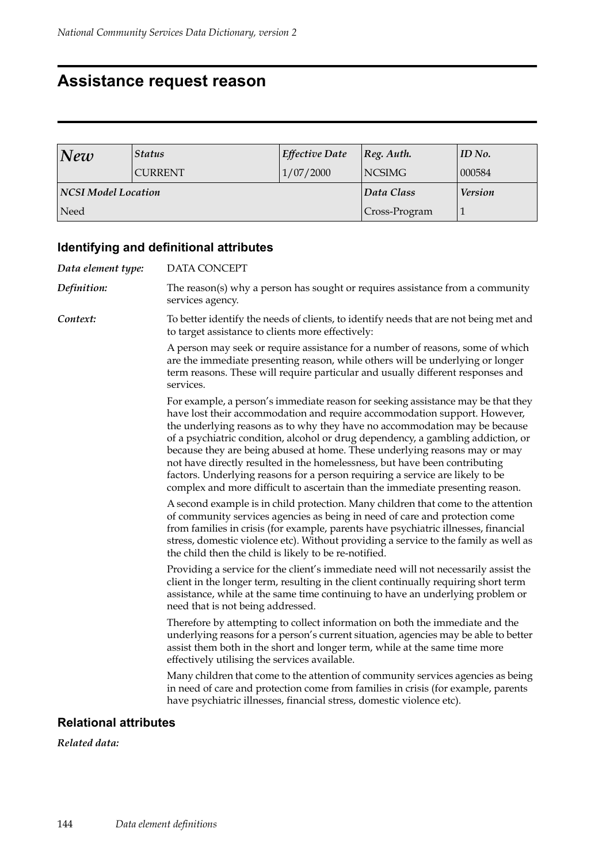## **Assistance request reason**

| New                 | <b>Status</b>  | Effective Date | $ Reg.$ Auth.  | ID No. |
|---------------------|----------------|----------------|----------------|--------|
|                     | <b>CURRENT</b> | 1/07/2000      | <b>NCSIMG</b>  | 000584 |
| NCSI Model Location |                | Data Class     | <b>Version</b> |        |
| Need                |                |                | Cross-Program  |        |

### **Identifying and definitional attributes**

| Data element type: | DATA CONCEPT                                                                                                                                                                                                                                                                                                                                                                                                                                                                                                                                                                                                                                                  |
|--------------------|---------------------------------------------------------------------------------------------------------------------------------------------------------------------------------------------------------------------------------------------------------------------------------------------------------------------------------------------------------------------------------------------------------------------------------------------------------------------------------------------------------------------------------------------------------------------------------------------------------------------------------------------------------------|
| Definition:        | The reason(s) why a person has sought or requires assistance from a community<br>services agency.                                                                                                                                                                                                                                                                                                                                                                                                                                                                                                                                                             |
| Context:           | To better identify the needs of clients, to identify needs that are not being met and<br>to target assistance to clients more effectively:                                                                                                                                                                                                                                                                                                                                                                                                                                                                                                                    |
|                    | A person may seek or require assistance for a number of reasons, some of which<br>are the immediate presenting reason, while others will be underlying or longer<br>term reasons. These will require particular and usually different responses and<br>services.                                                                                                                                                                                                                                                                                                                                                                                              |
|                    | For example, a person's immediate reason for seeking assistance may be that they<br>have lost their accommodation and require accommodation support. However,<br>the underlying reasons as to why they have no accommodation may be because<br>of a psychiatric condition, alcohol or drug dependency, a gambling addiction, or<br>because they are being abused at home. These underlying reasons may or may<br>not have directly resulted in the homelessness, but have been contributing<br>factors. Underlying reasons for a person requiring a service are likely to be<br>complex and more difficult to ascertain than the immediate presenting reason. |
|                    | A second example is in child protection. Many children that come to the attention<br>of community services agencies as being in need of care and protection come<br>from families in crisis (for example, parents have psychiatric illnesses, financial<br>stress, domestic violence etc). Without providing a service to the family as well as<br>the child then the child is likely to be re-notified.                                                                                                                                                                                                                                                      |
|                    | Providing a service for the client's immediate need will not necessarily assist the<br>client in the longer term, resulting in the client continually requiring short term<br>assistance, while at the same time continuing to have an underlying problem or<br>need that is not being addressed.                                                                                                                                                                                                                                                                                                                                                             |
|                    | Therefore by attempting to collect information on both the immediate and the<br>underlying reasons for a person's current situation, agencies may be able to better<br>assist them both in the short and longer term, while at the same time more<br>effectively utilising the services available.                                                                                                                                                                                                                                                                                                                                                            |
|                    | Many children that come to the attention of community services agencies as being<br>in need of care and protection come from families in crisis (for example, parents<br>have psychiatric illnesses, financial stress, domestic violence etc).                                                                                                                                                                                                                                                                                                                                                                                                                |

#### **Relational attributes**

*Related data:*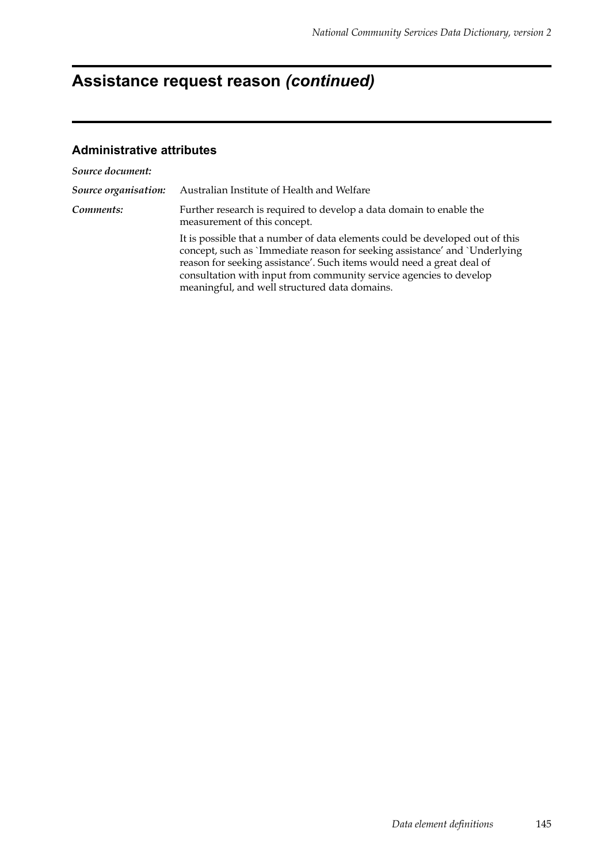# **Assistance request reason** *(continued)*

| Source document:     |                                                                                                                                                                                                                                                                                                                                                            |
|----------------------|------------------------------------------------------------------------------------------------------------------------------------------------------------------------------------------------------------------------------------------------------------------------------------------------------------------------------------------------------------|
| Source organisation: | Australian Institute of Health and Welfare                                                                                                                                                                                                                                                                                                                 |
| Comments:            | Further research is required to develop a data domain to enable the<br>measurement of this concept.                                                                                                                                                                                                                                                        |
|                      | It is possible that a number of data elements could be developed out of this<br>concept, such as 'Immediate reason for seeking assistance' and 'Underlying<br>reason for seeking assistance'. Such items would need a great deal of<br>consultation with input from community service agencies to develop<br>meaningful, and well structured data domains. |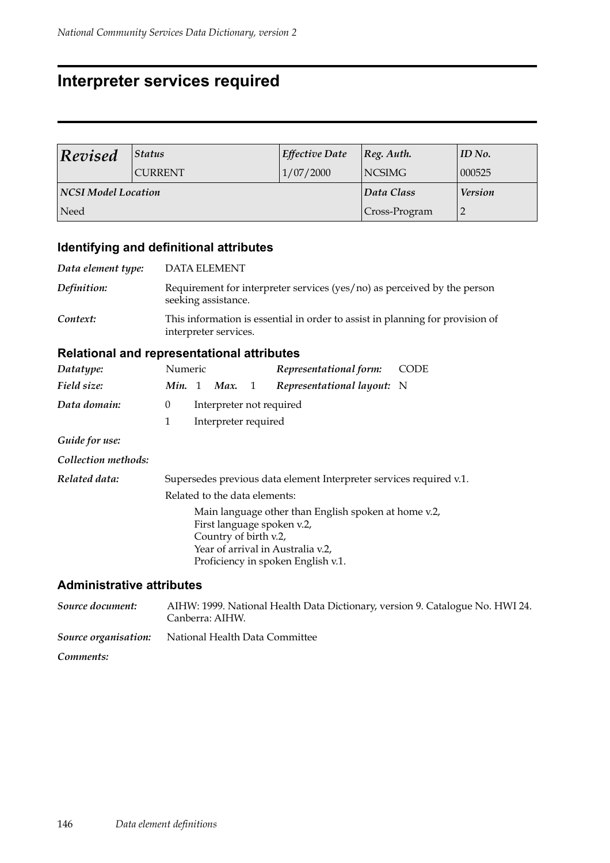## **Interpreter services required**

| Revised                    | <b>Status</b>  | <b>Effective Date</b> | $ Reg.$ Auth.  | ID No. |
|----------------------------|----------------|-----------------------|----------------|--------|
|                            | <b>CURRENT</b> | 1/07/2000             | <b>NCSIMG</b>  | 000525 |
| <b>NCSI Model Location</b> |                | Data Class            | <b>Version</b> |        |
| Need                       |                |                       | Cross-Program  |        |

### **Identifying and definitional attributes**

| Data element type: | <b>DATA ELEMENT</b>                                                                                      |
|--------------------|----------------------------------------------------------------------------------------------------------|
| Definition:        | Requirement for interpreter services ( $\gamma$ es/no) as perceived by the person<br>seeking assistance. |
| Context:           | This information is essential in order to assist in planning for provision of<br>interpreter services.   |

#### **Relational and representational attributes**

| Datatype:           | Numeric  |                                                                                                                                                                                        |                               |  | Representational form:                                              | CODE |
|---------------------|----------|----------------------------------------------------------------------------------------------------------------------------------------------------------------------------------------|-------------------------------|--|---------------------------------------------------------------------|------|
| Field size:         | Min. 1   |                                                                                                                                                                                        | Max. $1$                      |  | Representational layout: N                                          |      |
| Data domain:        | $\theta$ |                                                                                                                                                                                        | Interpreter not required      |  |                                                                     |      |
|                     | 1        |                                                                                                                                                                                        | Interpreter required          |  |                                                                     |      |
| Guide for use:      |          |                                                                                                                                                                                        |                               |  |                                                                     |      |
| Collection methods: |          |                                                                                                                                                                                        |                               |  |                                                                     |      |
| Related data:       |          |                                                                                                                                                                                        |                               |  | Supersedes previous data element Interpreter services required v.1. |      |
|                     |          |                                                                                                                                                                                        | Related to the data elements: |  |                                                                     |      |
|                     |          | Main language other than English spoken at home v.2,<br>First language spoken v.2,<br>Country of birth v.2,<br>Year of arrival in Australia v.2,<br>Proficiency in spoken English v.1. |                               |  |                                                                     |      |

| Source document:     | AIHW: 1999. National Health Data Dictionary, version 9. Catalogue No. HWI 24.<br>Canberra: AIHW. |
|----------------------|--------------------------------------------------------------------------------------------------|
| Source organisation: | National Health Data Committee                                                                   |
| Comments:            |                                                                                                  |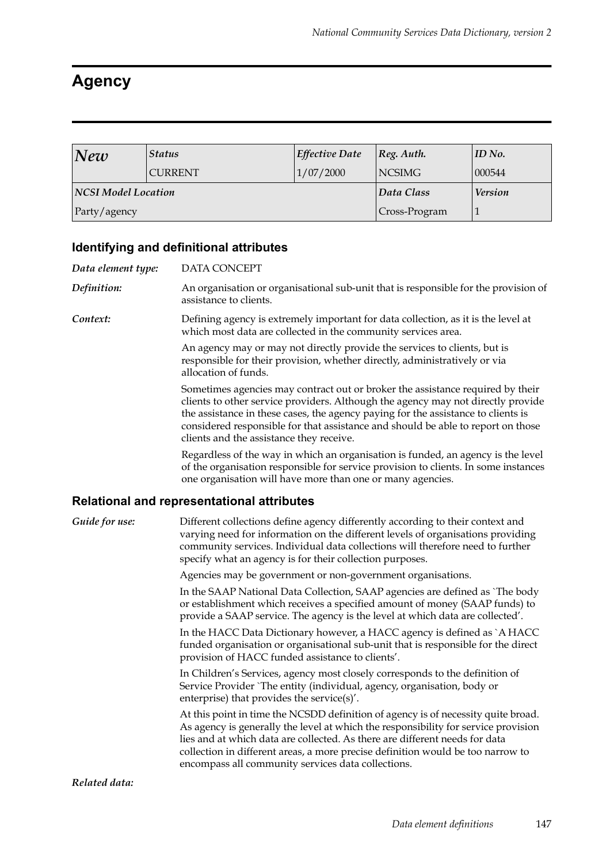# **Agency**

| New                 | <b>Status</b>  | <b>Effective Date</b> | $\vert$ Reg. Auth. | ID No. |
|---------------------|----------------|-----------------------|--------------------|--------|
|                     | <b>CURRENT</b> | 1/07/2000             | NCSIMG             | 000544 |
| NCSI Model Location |                | Data Class            | <b>Version</b>     |        |
| Party/agency        |                | Cross-Program         |                    |        |

## **Identifying and definitional attributes**

| Data element type: | DATA CONCEPT                                                                                                                                                                                                                                                                                                                                                                                    |
|--------------------|-------------------------------------------------------------------------------------------------------------------------------------------------------------------------------------------------------------------------------------------------------------------------------------------------------------------------------------------------------------------------------------------------|
| Definition:        | An organisation or organisational sub-unit that is responsible for the provision of<br>assistance to clients.                                                                                                                                                                                                                                                                                   |
| Context:           | Defining agency is extremely important for data collection, as it is the level at<br>which most data are collected in the community services area.                                                                                                                                                                                                                                              |
|                    | An agency may or may not directly provide the services to clients, but is<br>responsible for their provision, whether directly, administratively or via<br>allocation of funds.                                                                                                                                                                                                                 |
|                    | Sometimes agencies may contract out or broker the assistance required by their<br>clients to other service providers. Although the agency may not directly provide<br>the assistance in these cases, the agency paying for the assistance to clients is<br>considered responsible for that assistance and should be able to report on those<br>clients and the assistance they receive.         |
|                    | Regardless of the way in which an organisation is funded, an agency is the level<br>of the organisation responsible for service provision to clients. In some instances<br>one organisation will have more than one or many agencies.                                                                                                                                                           |
|                    | Relational and representational attributes                                                                                                                                                                                                                                                                                                                                                      |
| Guide for use:     | Different collections define agency differently according to their context and<br>varying need for information on the different levels of organisations providing<br>community services. Individual data collections will therefore need to further<br>specify what an agency is for their collection purposes.                                                                                 |
|                    | Agencies may be government or non-government organisations.                                                                                                                                                                                                                                                                                                                                     |
|                    | In the SAAP National Data Collection, SAAP agencies are defined as `The body<br>or establishment which receives a specified amount of money (SAAP funds) to<br>provide a SAAP service. The agency is the level at which data are collected'.                                                                                                                                                    |
|                    | In the HACC Data Dictionary however, a HACC agency is defined as `A HACC<br>funded organisation or organisational sub-unit that is responsible for the direct<br>provision of HACC funded assistance to clients'.                                                                                                                                                                               |
|                    | In Children's Services, agency most closely corresponds to the definition of<br>Service Provider `The entity (individual, agency, organisation, body or<br>enterprise) that provides the service(s)'.                                                                                                                                                                                           |
|                    | At this point in time the NCSDD definition of agency is of necessity quite broad.<br>As agency is generally the level at which the responsibility for service provision<br>lies and at which data are collected. As there are different needs for data<br>collection in different areas, a more precise definition would be too narrow to<br>encompass all community services data collections. |
| Related data:      |                                                                                                                                                                                                                                                                                                                                                                                                 |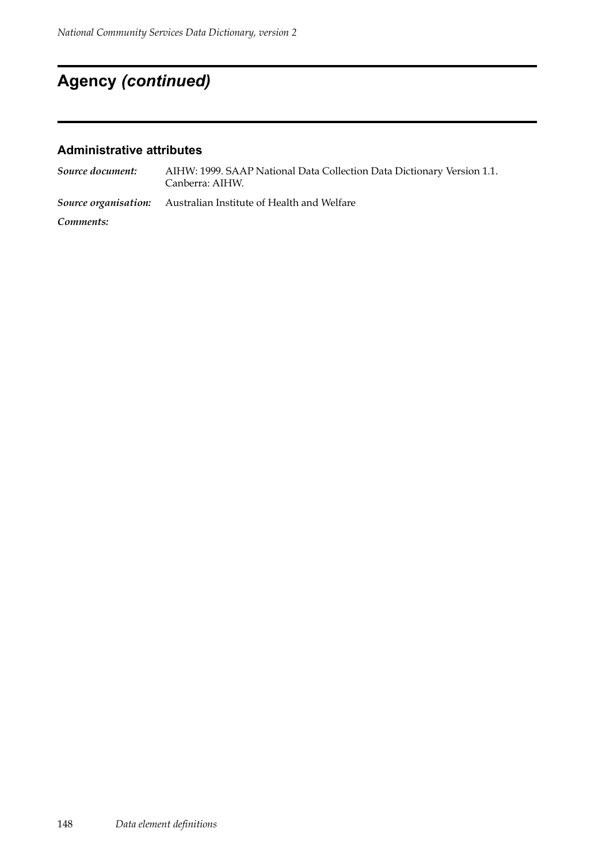# **Agency** *(continued)*

| Source document: | AIHW: 1999. SAAP National Data Collection Data Dictionary Version 1.1.<br>Canberra: AIHW. |
|------------------|-------------------------------------------------------------------------------------------|
|                  | <b>Source organisation:</b> Australian Institute of Health and Welfare                    |
| Comments:        |                                                                                           |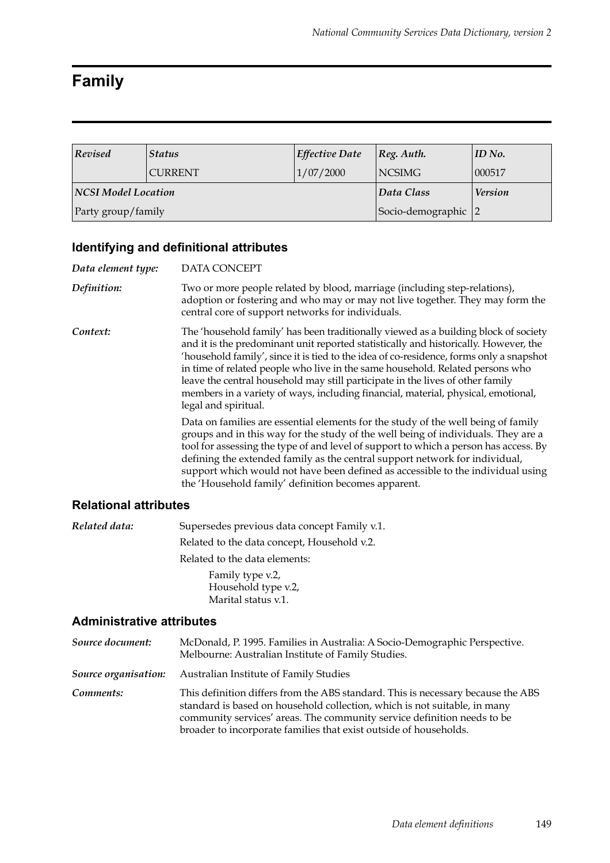# **Family**

| Revised                    | <b>Status</b>  | <b>Effective Date</b> | $ Reg.$ Auth.  | $ID$ No. |
|----------------------------|----------------|-----------------------|----------------|----------|
|                            | <b>CURRENT</b> | 1/07/2000             | <b>NCSIMG</b>  | 000517   |
| <b>NCSI Model Location</b> |                | Data Class            | <b>Version</b> |          |
| Party group/family         |                | Socio-demographic 2   |                |          |

### **Identifying and definitional attributes**

| Data element type: | <b>DATA CONCEPT</b>                                                                                                                                                                                                                                                                                                                                                                                                                                                                                                                                    |  |
|--------------------|--------------------------------------------------------------------------------------------------------------------------------------------------------------------------------------------------------------------------------------------------------------------------------------------------------------------------------------------------------------------------------------------------------------------------------------------------------------------------------------------------------------------------------------------------------|--|
| Definition:        | Two or more people related by blood, marriage (including step-relations),<br>adoption or fostering and who may or may not live together. They may form the<br>central core of support networks for individuals.                                                                                                                                                                                                                                                                                                                                        |  |
| Context:           | The 'household family' has been traditionally viewed as a building block of society<br>and it is the predominant unit reported statistically and historically. However, the<br>'household family', since it is tied to the idea of co-residence, forms only a snapshot<br>in time of related people who live in the same household. Related persons who<br>leave the central household may still participate in the lives of other family<br>members in a variety of ways, including financial, material, physical, emotional,<br>legal and spiritual. |  |
|                    | Data on families are essential elements for the study of the well being of family<br>groups and in this way for the study of the well being of individuals. They are a<br>tool for assessing the type of and level of support to which a person has access. By<br>defining the extended family as the central support network for individual,<br>support which would not have been defined as accessible to the individual using<br>the 'Household family' definition becomes apparent.                                                                |  |

#### **Relational attributes**

| Related data: | Supersedes previous data concept Family v.1. |  |
|---------------|----------------------------------------------|--|
|               | Related to the data concept, Household v.2.  |  |
|               | Related to the data elements:                |  |
|               | Family type v.2,                             |  |
|               | Household type v.2,                          |  |
|               | Marital status v.1.                          |  |

| Source document:     | McDonald, P. 1995. Families in Australia: A Socio-Demographic Perspective.<br>Melbourne: Australian Institute of Family Studies.                                                                                                                                                                              |
|----------------------|---------------------------------------------------------------------------------------------------------------------------------------------------------------------------------------------------------------------------------------------------------------------------------------------------------------|
| Source organisation: | Australian Institute of Family Studies                                                                                                                                                                                                                                                                        |
| Comments:            | This definition differs from the ABS standard. This is necessary because the ABS<br>standard is based on household collection, which is not suitable, in many<br>community services' areas. The community service definition needs to be<br>broader to incorporate families that exist outside of households. |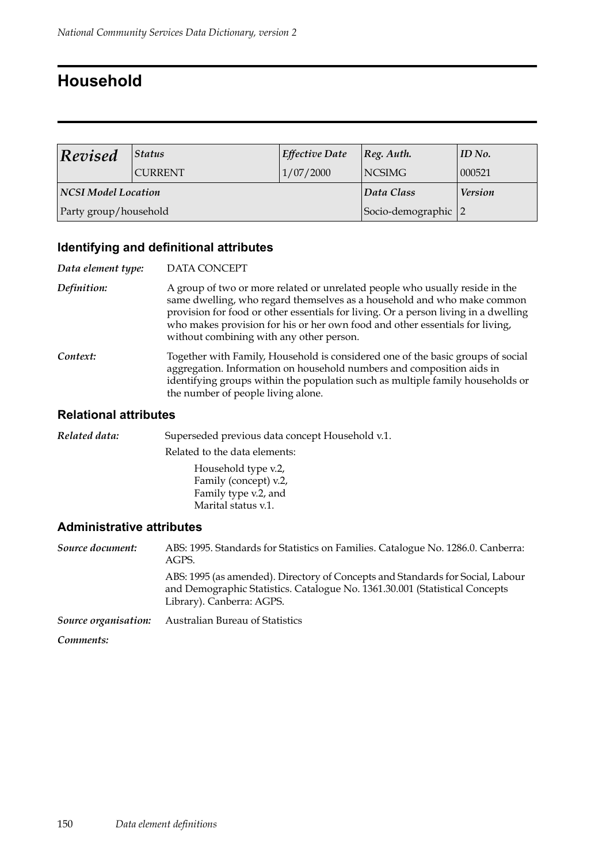## **Household**

| <b>Revised</b>             | $\left  \right. \mathit{Status}$ | <b>Effective Date</b> | $ Reg.$ Auth. | $ID$ No.       |
|----------------------------|----------------------------------|-----------------------|---------------|----------------|
|                            | <b>CURRENT</b>                   | 1/07/2000             | <b>NCSIMG</b> | 000521         |
| <b>NCSI Model Location</b> |                                  |                       | Data Class    | <b>Version</b> |
| Party group/household      |                                  | Socio-demographic 2   |               |                |

### **Identifying and definitional attributes**

| Data element type: | <b>DATA CONCEPT</b>                                                                                                                                                                                                                                                                                                                                                        |  |
|--------------------|----------------------------------------------------------------------------------------------------------------------------------------------------------------------------------------------------------------------------------------------------------------------------------------------------------------------------------------------------------------------------|--|
| Definition:        | A group of two or more related or unrelated people who usually reside in the<br>same dwelling, who regard themselves as a household and who make common<br>provision for food or other essentials for living. Or a person living in a dwelling<br>who makes provision for his or her own food and other essentials for living,<br>without combining with any other person. |  |
| Context:           | Together with Family, Household is considered one of the basic groups of social<br>aggregation. Information on household numbers and composition aids in<br>identifying groups within the population such as multiple family households or<br>the number of people living alone.                                                                                           |  |

#### **Relational attributes**

| Related data: | Superseded previous data concept Household v.1.                                             |
|---------------|---------------------------------------------------------------------------------------------|
|               | Related to the data elements:                                                               |
|               | Household type v.2,<br>Family (concept) v.2,<br>Family type v.2, and<br>Marital status v.1. |
|               |                                                                                             |

| Source document:     | ABS: 1995. Standards for Statistics on Families. Catalogue No. 1286.0. Canberra:<br>AGPS.                                                                                                  |
|----------------------|--------------------------------------------------------------------------------------------------------------------------------------------------------------------------------------------|
|                      | ABS: 1995 (as amended). Directory of Concepts and Standards for Social, Labour<br>and Demographic Statistics. Catalogue No. 1361.30.001 (Statistical Concepts<br>Library). Canberra: AGPS. |
| Source organisation: | Australian Bureau of Statistics                                                                                                                                                            |
| Comments:            |                                                                                                                                                                                            |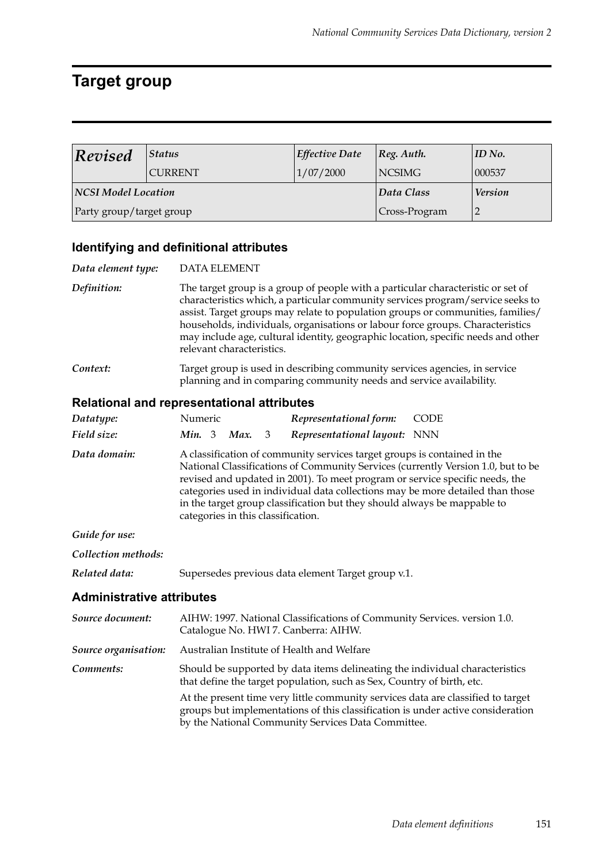# **Target group**

| Revised                    | <b>Status</b>  | <b>Effective Date</b> | Reg. Author.  | ID No.         |
|----------------------------|----------------|-----------------------|---------------|----------------|
|                            | <b>CURRENT</b> | 1/07/2000             | <b>NCSIMG</b> | 000537         |
| <b>NCSI Model Location</b> |                |                       | Data Class    | <b>Version</b> |
| Party group/target group   |                | Cross-Program         |               |                |

### **Identifying and definitional attributes**

| Data element type:               | <b>DATA ELEMENT</b>                                                                                                                                                                                                                                                                                                                                                                                                                                        |  |  |
|----------------------------------|------------------------------------------------------------------------------------------------------------------------------------------------------------------------------------------------------------------------------------------------------------------------------------------------------------------------------------------------------------------------------------------------------------------------------------------------------------|--|--|
| Definition:                      | The target group is a group of people with a particular characteristic or set of<br>characteristics which, a particular community services program/service seeks to<br>assist. Target groups may relate to population groups or communities, families/<br>households, individuals, organisations or labour force groups. Characteristics<br>may include age, cultural identity, geographic location, specific needs and other<br>relevant characteristics. |  |  |
| Context:                         | Target group is used in describing community services agencies, in service<br>planning and in comparing community needs and service availability.                                                                                                                                                                                                                                                                                                          |  |  |
|                                  | <b>Relational and representational attributes</b>                                                                                                                                                                                                                                                                                                                                                                                                          |  |  |
| Datatype:                        | Numeric<br>Representational form:<br><b>CODE</b>                                                                                                                                                                                                                                                                                                                                                                                                           |  |  |
| Field size:                      | Min. 3<br>Max.<br>Representational layout: NNN<br>3                                                                                                                                                                                                                                                                                                                                                                                                        |  |  |
| Data domain:                     | A classification of community services target groups is contained in the<br>National Classifications of Community Services (currently Version 1.0, but to be<br>revised and updated in 2001). To meet program or service specific needs, the<br>categories used in individual data collections may be more detailed than those<br>in the target group classification but they should always be mappable to<br>categories in this classification.           |  |  |
| Guide for use:                   |                                                                                                                                                                                                                                                                                                                                                                                                                                                            |  |  |
| Collection methods:              |                                                                                                                                                                                                                                                                                                                                                                                                                                                            |  |  |
| Related data:                    | Supersedes previous data element Target group v.1.                                                                                                                                                                                                                                                                                                                                                                                                         |  |  |
| <b>Administrative attributes</b> |                                                                                                                                                                                                                                                                                                                                                                                                                                                            |  |  |
| Source document:                 | AIHW: 1997. National Classifications of Community Services. version 1.0.<br>Catalogue No. HWI 7. Canberra: AIHW.                                                                                                                                                                                                                                                                                                                                           |  |  |
| Source organisation:             | Australian Institute of Health and Welfare                                                                                                                                                                                                                                                                                                                                                                                                                 |  |  |
| Comments:                        | Should be supported by data items delineating the individual characteristics<br>that define the target population, such as Sex, Country of birth, etc.                                                                                                                                                                                                                                                                                                     |  |  |
|                                  | At the present time very little community services data are classified to target<br>groups but implementations of this classification is under active consideration<br>by the National Community Services Data Committee.                                                                                                                                                                                                                                  |  |  |